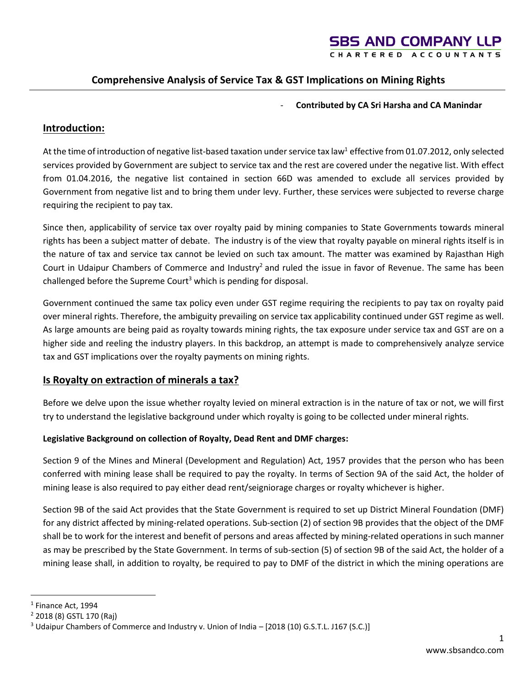### **Comprehensive Analysis of Service Tax & GST Implications on Mining Rights**

#### - **Contributed by CA Sri Harsha and CA Manindar**

### **Introduction:**

At the time of introduction of negative list-based taxation under service tax law<sup>1</sup> effective from 01.07.2012, only selected services provided by Government are subject to service tax and the rest are covered under the negative list. With effect from 01.04.2016, the negative list contained in section 66D was amended to exclude all services provided by Government from negative list and to bring them under levy. Further, these services were subjected to reverse charge requiring the recipient to pay tax.

Since then, applicability of service tax over royalty paid by mining companies to State Governments towards mineral rights has been a subject matter of debate. The industry is of the view that royalty payable on mineral rights itself is in the nature of tax and service tax cannot be levied on such tax amount. The matter was examined by Rajasthan High Court in Udaipur Chambers of Commerce and Industry<sup>2</sup> and ruled the issue in favor of Revenue. The same has been challenged before the Supreme Court<sup>3</sup> which is pending for disposal.

Government continued the same tax policy even under GST regime requiring the recipients to pay tax on royalty paid over mineral rights. Therefore, the ambiguity prevailing on service tax applicability continued under GST regime as well. As large amounts are being paid as royalty towards mining rights, the tax exposure under service tax and GST are on a higher side and reeling the industry players. In this backdrop, an attempt is made to comprehensively analyze service tax and GST implications over the royalty payments on mining rights.

#### **Is Royalty on extraction of minerals a tax?**

Before we delve upon the issue whether royalty levied on mineral extraction is in the nature of tax or not, we will first try to understand the legislative background under which royalty is going to be collected under mineral rights.

#### **Legislative Background on collection of Royalty, Dead Rent and DMF charges:**

Section 9 of the Mines and Mineral (Development and Regulation) Act, 1957 provides that the person who has been conferred with mining lease shall be required to pay the royalty. In terms of Section 9A of the said Act, the holder of mining lease is also required to pay either dead rent/seigniorage charges or royalty whichever is higher.

Section 9B of the said Act provides that the State Government is required to set up District Mineral Foundation (DMF) for any district affected by mining-related operations. Sub-section (2) of section 9B provides that the object of the DMF shall be to work for the interest and benefit of persons and areas affected by mining-related operations in such manner as may be prescribed by the State Government. In terms of sub-section (5) of section 9B of the said Act, the holder of a mining lease shall, in addition to royalty, be required to pay to DMF of the district in which the mining operations are

<sup>&</sup>lt;sup>1</sup> Finance Act, 1994

<sup>2</sup> 2018 (8) GSTL 170 (Raj)

<sup>3</sup> Udaipur Chambers of Commerce and Industry v. Union of India – [2018 (10) G.S.T.L. J167 (S.C.)]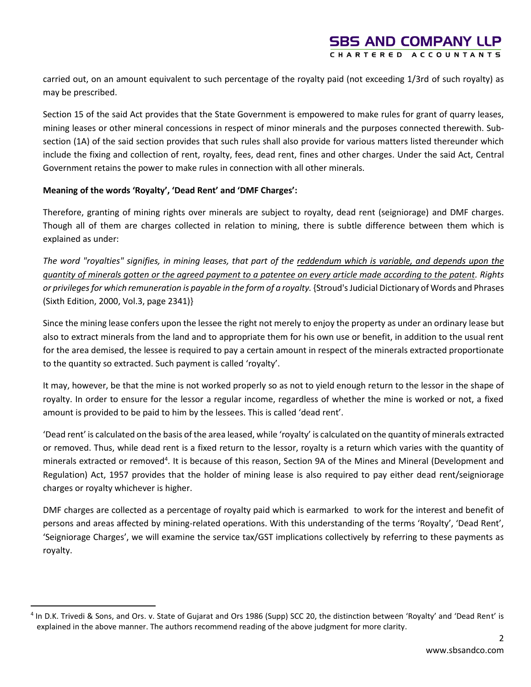carried out, on an amount equivalent to such percentage of the royalty paid (not exceeding 1/3rd of such royalty) as may be prescribed.

Section 15 of the said Act provides that the State Government is empowered to make rules for grant of quarry leases, mining leases or other mineral concessions in respect of minor minerals and the purposes connected therewith. Subsection (1A) of the said section provides that such rules shall also provide for various matters listed thereunder which include the fixing and collection of rent, royalty, fees, dead rent, fines and other charges. Under the said Act, Central Government retains the power to make rules in connection with all other minerals.

### **Meaning of the words 'Royalty', 'Dead Rent' and 'DMF Charges':**

Therefore, granting of mining rights over minerals are subject to royalty, dead rent (seigniorage) and DMF charges. Though all of them are charges collected in relation to mining, there is subtle difference between them which is explained as under:

*The word "royalties" signifies, in mining leases, that part of the reddendum which is variable, and depends upon the quantity of minerals gotten or the agreed payment to a patentee on every article made according to the patent. Rights or privileges for which remuneration is payable in the form of a royalty.* {Stroud's Judicial Dictionary of Words and Phrases (Sixth Edition, 2000, Vol.3, page 2341)}

Since the mining lease confers upon the lessee the right not merely to enjoy the property as under an ordinary lease but also to extract minerals from the land and to appropriate them for his own use or benefit, in addition to the usual rent for the area demised, the lessee is required to pay a certain amount in respect of the minerals extracted proportionate to the quantity so extracted. Such payment is called 'royalty'.

It may, however, be that the mine is not worked properly so as not to yield enough return to the lessor in the shape of royalty. In order to ensure for the lessor a regular income, regardless of whether the mine is worked or not, a fixed amount is provided to be paid to him by the lessees. This is called 'dead rent'.

'Dead rent' is calculated on the basis of the area leased, while 'royalty' is calculated on the quantity of minerals extracted or removed. Thus, while dead rent is a fixed return to the lessor, royalty is a return which varies with the quantity of minerals extracted or removed<sup>4</sup>. It is because of this reason, Section 9A of the Mines and Mineral (Development and Regulation) Act, 1957 provides that the holder of mining lease is also required to pay either dead rent/seigniorage charges or royalty whichever is higher.

DMF charges are collected as a percentage of royalty paid which is earmarked to work for the interest and benefit of persons and areas affected by mining-related operations. With this understanding of the terms 'Royalty', 'Dead Rent', 'Seigniorage Charges', we will examine the service tax/GST implications collectively by referring to these payments as royalty.

<sup>&</sup>lt;sup>4</sup> In D.K. Trivedi & Sons, and Ors. v. State of Gujarat and Ors 1986 (Supp) SCC 20, the distinction between 'Royalty' and 'Dead Rent' is explained in the above manner. The authors recommend reading of the above judgment for more clarity.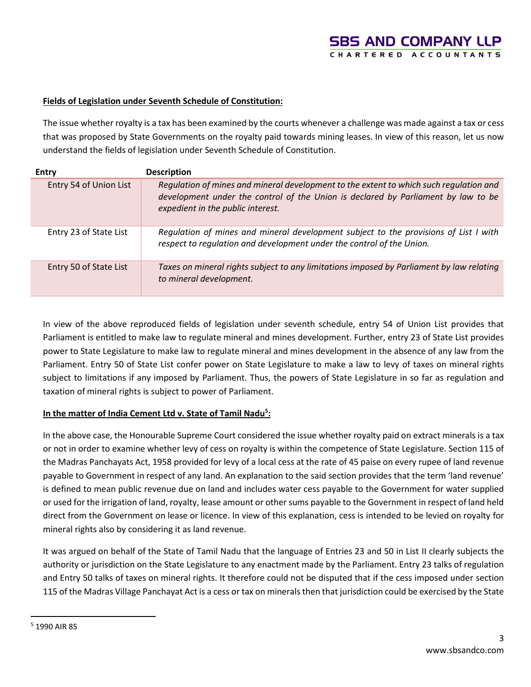#### **Fields of Legislation under Seventh Schedule of Constitution:**

The issue whether royalty is a tax has been examined by the courts whenever a challenge was made against a tax or cess that was proposed by State Governments on the royalty paid towards mining leases. In view of this reason, let us now understand the fields of legislation under Seventh Schedule of Constitution.

| <b>Entry</b>           | <b>Description</b>                                                                                                                                                                                               |
|------------------------|------------------------------------------------------------------------------------------------------------------------------------------------------------------------------------------------------------------|
| Entry 54 of Union List | Regulation of mines and mineral development to the extent to which such regulation and<br>development under the control of the Union is declared by Parliament by law to be<br>expedient in the public interest. |
| Entry 23 of State List | Regulation of mines and mineral development subject to the provisions of List I with<br>respect to regulation and development under the control of the Union.                                                    |
| Entry 50 of State List | Taxes on mineral rights subject to any limitations imposed by Parliament by law relating<br>to mineral development.                                                                                              |

In view of the above reproduced fields of legislation under seventh schedule, entry 54 of Union List provides that Parliament is entitled to make law to regulate mineral and mines development. Further, entry 23 of State List provides power to State Legislature to make law to regulate mineral and mines development in the absence of any law from the Parliament. Entry 50 of State List confer power on State Legislature to make a law to levy of taxes on mineral rights subject to limitations if any imposed by Parliament. Thus, the powers of State Legislature in so far as regulation and taxation of mineral rights is subject to power of Parliament.

### **In the matter of India Cement Ltd v. State of Tamil Nadu<sup>5</sup> :**

In the above case, the Honourable Supreme Court considered the issue whether royalty paid on extract minerals is a tax or not in order to examine whether levy of cess on royalty is within the competence of State Legislature. Section 115 of the Madras Panchayats Act, 1958 provided for levy of a local cess at the rate of 45 paise on every rupee of land revenue payable to Government in respect of any land. An explanation to the said section provides that the term 'land revenue' is defined to mean public revenue due on land and includes water cess payable to the Government for water supplied or used for the irrigation of land, royalty, lease amount or other sums payable to the Government in respect of land held direct from the Government on lease or licence. In view of this explanation, cess is intended to be levied on royalty for mineral rights also by considering it as land revenue.

It was argued on behalf of the State of Tamil Nadu that the language of Entries 23 and 50 in List II clearly subjects the authority or jurisdiction on the State Legislature to any enactment made by the Parliament. Entry 23 talks of regulation and Entry 50 talks of taxes on mineral rights. It therefore could not be disputed that if the cess imposed under section 115 of the Madras Village Panchayat Act is a cess or tax on minerals then that jurisdiction could be exercised by the State

<sup>5</sup> 1990 AIR 85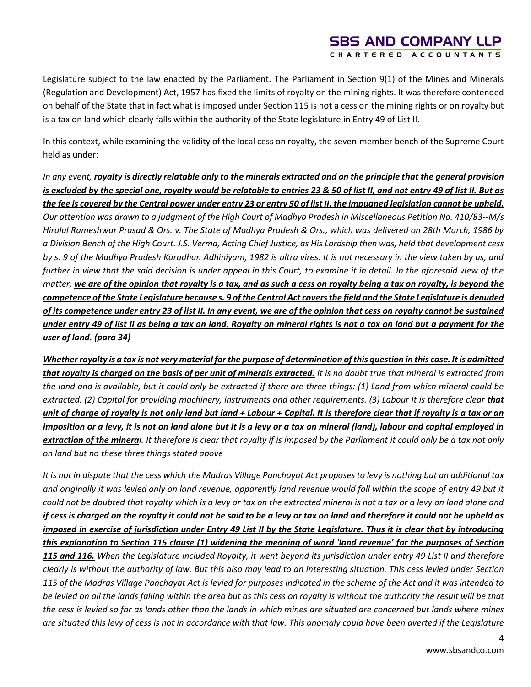Legislature subject to the law enacted by the Parliament. The Parliament in Section 9(1) of the Mines and Minerals (Regulation and Development) Act, 1957 has fixed the limits of royalty on the mining rights. It was therefore contended on behalf of the State that in fact what is imposed under Section 115 is not a cess on the mining rights or on royalty but is a tax on land which clearly falls within the authority of the State legislature in Entry 49 of List II.

In this context, while examining the validity of the local cess on royalty, the seven-member bench of the Supreme Court held as under:

*In any event, royalty is directly relatable only to the minerals extracted and on the principle that the general provision is excluded by the special one, royalty would be relatable to entries 23 & 50 of list II, and not entry 49 of list II. But as the fee is covered by the Central power under entry 23 or entry 50 of list II, the impugned legislation cannot be upheld. Our attention was drawn to a judgment of the High Court of Madhya Pradesh in Miscellaneous Petition No. 410/83--M/s Hiralal Rameshwar Prasad & Ors. v. The State of Madhya Pradesh & Ors., which was delivered on 28th March, 1986 by a Division Bench of the High Court. J.S. Verma, Acting Chief Justice, as His Lordship then was, held that development cess by s. 9 of the Madhya Pradesh Karadhan Adhiniyam, 1982 is ultra vires. It is not necessary in the view taken by us, and further in view that the said decision is under appeal in this Court, to examine it in detail. In the aforesaid view of the matter, we are of the opinion that royalty is a tax, and as such a cess on royalty being a tax on royalty, is beyond the competence of the State Legislature because s. 9 of the Central Act covers the field and the State Legislature is denuded of its competence under entry 23 of list II. In any event, we are of the opinion that cess on royalty cannot be sustained under entry 49 of list II as being a tax on land. Royalty on mineral rights is not a tax on land but a payment for the user of land. (para 34)*

*Whether royalty is a tax is not very material for the purpose of determination of this question in this case. It is admitted that royalty is charged on the basis of per unit of minerals extracted. It is no doubt true that mineral is extracted from the land and is available, but it could only be extracted if there are three things: (1) Land from which mineral could be extracted. (2) Capital for providing machinery, instruments and other requirements. (3) Labour It is therefore clear that unit of charge of royalty is not only land but land + Labour + Capital. It is therefore clear that if royalty is a tax or an imposition or a levy, it is not on land alone but it is a levy or a tax on mineral (land), labour and capital employed in extraction of the mineral. It therefore is clear that royalty if is imposed by the Parliament it could only be a tax not only on land but no these three things stated above*

*It is not in dispute that the cess which the Madras Village Panchayat Act proposes to levy is nothing but an additional tax and originally it was levied only on land revenue, apparently land revenue would fall within the scope of entry 49 but it could not be doubted that royalty which is a levy or tax on the extracted mineral is not a tax or a levy on land alone and if cess is charged on the royalty it could not be said to be a levy or tax on land and therefore it could not be upheld as imposed in exercise of jurisdiction under Entry 49 List II by the State Legislature. Thus it is clear that by introducing this explanation to Section 115 clause (1) widening the meaning of word 'land revenue' for the purposes of Section 115 and 116. When the Legislature included Royalty, it went beyond its jurisdiction under entry 49 List II and therefore clearly is without the authority of law. But this also may lead to an interesting situation. This cess levied under Section 115 of the Madras Village Panchayat Act is levied for purposes indicated in the scheme of the Act and it was intended to be levied on all the lands falling within the area but as this cess on royalty is without the authority the result will be that the cess is levied so far as lands other than the lands in which mines are situated are concerned but lands where mines are situated this levy of cess is not in accordance with that law. This anomaly could have been averted if the Legislature*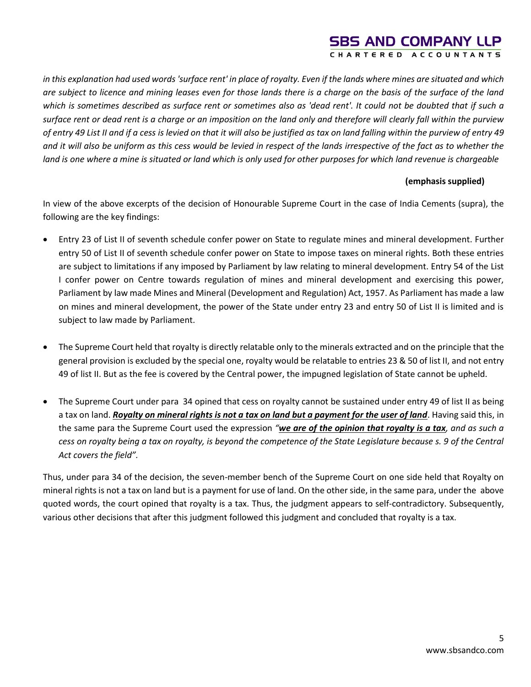*in this explanation had used words 'surface rent' in place of royalty. Even if the lands where mines are situated and which are subject to licence and mining leases even for those lands there is a charge on the basis of the surface of the land which is sometimes described as surface rent or sometimes also as 'dead rent'. It could not be doubted that if such a surface rent or dead rent is a charge or an imposition on the land only and therefore will clearly fall within the purview of entry 49 List II and if a cess is levied on that it will also be justified as tax on land falling within the purview of entry 49 and it will also be uniform as this cess would be levied in respect of the lands irrespective of the fact as to whether the land is one where a mine is situated or land which is only used for other purposes for which land revenue is chargeable*

### **(emphasis supplied)**

In view of the above excerpts of the decision of Honourable Supreme Court in the case of India Cements (supra), the following are the key findings:

- Entry 23 of List II of seventh schedule confer power on State to regulate mines and mineral development. Further entry 50 of List II of seventh schedule confer power on State to impose taxes on mineral rights. Both these entries are subject to limitations if any imposed by Parliament by law relating to mineral development. Entry 54 of the List I confer power on Centre towards regulation of mines and mineral development and exercising this power, Parliament by law made Mines and Mineral (Development and Regulation) Act, 1957. As Parliament has made a law on mines and mineral development, the power of the State under entry 23 and entry 50 of List II is limited and is subject to law made by Parliament.
- The Supreme Court held that royalty is directly relatable only to the minerals extracted and on the principle that the general provision is excluded by the special one, royalty would be relatable to entries 23 & 50 of list II, and not entry 49 of list II. But as the fee is covered by the Central power, the impugned legislation of State cannot be upheld.
- The Supreme Court under para 34 opined that cess on royalty cannot be sustained under entry 49 of list II as being a tax on land. *Royalty on mineral rights is not a tax on land but a payment for the user of land*. Having said this, in the same para the Supreme Court used the expression *"we are of the opinion that royalty is a tax, and as such a cess on royalty being a tax on royalty, is beyond the competence of the State Legislature because s. 9 of the Central Act covers the field".*

Thus, under para 34 of the decision, the seven-member bench of the Supreme Court on one side held that Royalty on mineral rights is not a tax on land but is a payment for use of land. On the other side, in the same para, under the above quoted words, the court opined that royalty is a tax. Thus, the judgment appears to self-contradictory. Subsequently, various other decisions that after this judgment followed this judgment and concluded that royalty is a tax.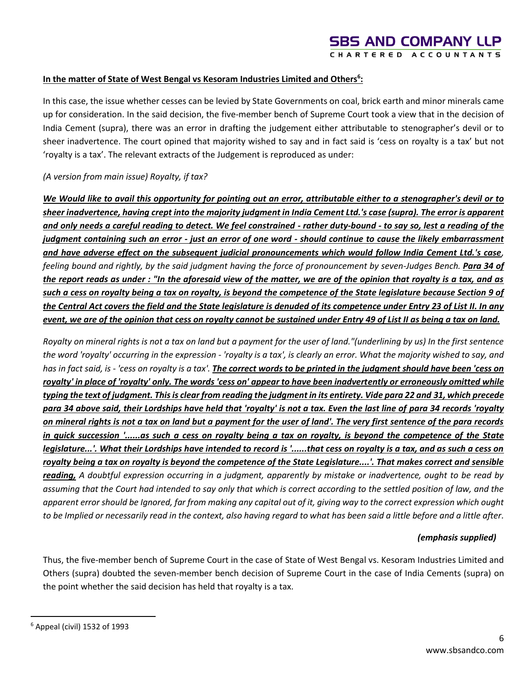### **In the matter of State of West Bengal vs Kesoram Industries Limited and Others<sup>6</sup> :**

In this case, the issue whether cesses can be levied by State Governments on coal, brick earth and minor minerals came up for consideration. In the said decision, the five-member bench of Supreme Court took a view that in the decision of India Cement (supra), there was an error in drafting the judgement either attributable to stenographer's devil or to sheer inadvertence. The court opined that majority wished to say and in fact said is 'cess on royalty is a tax' but not 'royalty is a tax'. The relevant extracts of the Judgement is reproduced as under:

#### *(A version from main issue) Royalty, if tax?*

*We Would like to avail this opportunity for pointing out an error, attributable either to a stenographer's devil or to sheer inadvertence, having crept into the majority judgment in India Cement Ltd.'s case (supra). The error is apparent and only needs a careful reading to detect. We feel constrained - rather duty-bound - to say so, lest a reading of the judgment containing such an error - just an error of one word - should continue to cause the likely embarrassment and have adverse effect on the subsequent judicial pronouncements which would follow India Cement Ltd.'s case, feeling bound and rightly, by the said judgment having the force of pronouncement by seven-Judges Bench. Para 34 of the report reads as under : "In the aforesaid view of the matter, we are of the opinion that royalty is a tax, and as such a cess on royalty being a tax on royalty, is beyond the competence of the State legislature because Section 9 of the Central Act covers the field and the State legislature is denuded of its competence under Entry 23 of List II. In any event, we are of the opinion that cess on royalty cannot be sustained under Entry 49 of List II as being a tax on land.*

*Royalty on mineral rights is not a tax on land but a payment for the user of land."(underlining by us) In the first sentence the word 'royalty' occurring in the expression - 'royalty is a tax', is clearly an error. What the majority wished to say, and has in fact said, is - 'cess on royalty is a tax'. The correct words to be printed in the judgment should have been 'cess on royalty' in place of 'royalty' only. The words 'cess on' appear to have been inadvertently or erroneously omitted while typing the text of judgment. This is clear from reading the judgment in its entirety. Vide para 22 and 31, which precede para 34 above said, their Lordships have held that 'royalty' is not a tax. Even the last line of para 34 records 'royalty on mineral rights is not a tax on land but a payment for the user of land'. The very first sentence of the para records in quick succession '......as such a cess on royalty being a tax on royalty, is beyond the competence of the State legislature...'. What their Lordships have intended to record is '......that cess on royalty is a tax, and as such a cess on royalty being a tax on royalty is beyond the competence of the State Legislature....'. That makes correct and sensible reading, A doubtful expression occurring in a judgment, apparently by mistake or inadvertence, ought to be read by assuming that the Court had intended to say only that which is correct according to the settled position of law, and the apparent error should be Ignored, far from making any capital out of it, giving way to the correct expression which ought to be Implied or necessarily read in the context, also having regard to what has been said a little before and a little after.*

#### *(emphasis supplied)*

Thus, the five-member bench of Supreme Court in the case of State of West Bengal vs. Kesoram Industries Limited and Others (supra) doubted the seven-member bench decision of Supreme Court in the case of India Cements (supra) on the point whether the said decision has held that royalty is a tax.

<sup>6</sup> Appeal (civil) 1532 of 1993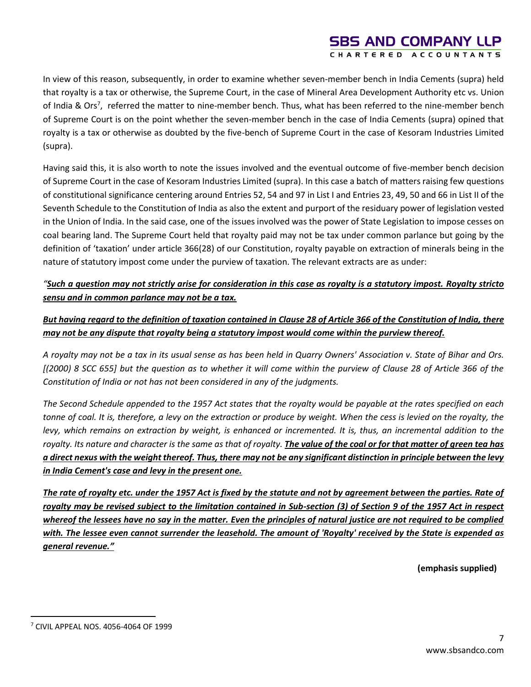# **SBS AND COMPANY LLP**

CHARTERED ACCOUNTANTS

In view of this reason, subsequently, in order to examine whether seven-member bench in India Cements (supra) held that royalty is a tax or otherwise, the Supreme Court, in the case of Mineral Area Development Authority etc vs. Union of India & Ors<sup>7</sup>, referred the matter to nine-member bench. Thus, what has been referred to the nine-member bench of Supreme Court is on the point whether the seven-member bench in the case of India Cements (supra) opined that royalty is a tax or otherwise as doubted by the five-bench of Supreme Court in the case of Kesoram Industries Limited (supra).

Having said this, it is also worth to note the issues involved and the eventual outcome of five-member bench decision of Supreme Court in the case of Kesoram Industries Limited (supra). In this case a batch of matters raising few questions of constitutional significance centering around Entries 52, 54 and 97 in List I and Entries 23, 49, 50 and 66 in List II of the Seventh Schedule to the Constitution of India as also the extent and purport of the residuary power of legislation vested in the Union of India. In the said case, one of the issues involved was the power of State Legislation to impose cesses on coal bearing land. The Supreme Court held that royalty paid may not be tax under common parlance but going by the definition of 'taxation' under article 366(28) of our Constitution, royalty payable on extraction of minerals being in the nature of statutory impost come under the purview of taxation. The relevant extracts are as under:

# *"Such a question may not strictly arise for consideration in this case as royalty is a statutory impost. Royalty stricto sensu and in common parlance may not be a tax.*

### *But having regard to the definition of taxation contained in Clause 28 of Article 366 of the Constitution of India, there may not be any dispute that royalty being a statutory impost would come within the purview thereof.*

*A royalty may not be a tax in its usual sense as has been held in Quarry Owners' Association v. State of Bihar and Ors. [(2000) 8 SCC 655] but the question as to whether it will come within the purview of Clause 28 of Article 366 of the Constitution of India or not has not been considered in any of the judgments.*

*The Second Schedule appended to the 1957 Act states that the royalty would be payable at the rates specified on each tonne of coal. It is, therefore, a levy on the extraction or produce by weight. When the cess is levied on the royalty, the levy, which remains on extraction by weight, is enhanced or incremented. It is, thus, an incremental addition to the*  royalty. Its nature and character is the same as that of royalty. **The value of the coal or for that matter of green tea has** *a direct nexus with the weight thereof. Thus, there may not be any significant distinction in principle between the levy in India Cement's case and levy in the present one.*

*The rate of royalty etc. under the 1957 Act is fixed by the statute and not by agreement between the parties. Rate of royalty may be revised subject to the limitation contained in Sub-section (3) of Section 9 of the 1957 Act in respect whereof the lessees have no say in the matter. Even the principles of natural justice are not required to be complied with. The lessee even cannot surrender the leasehold. The amount of 'Royalty' received by the State is expended as general revenue."*

**(emphasis supplied)**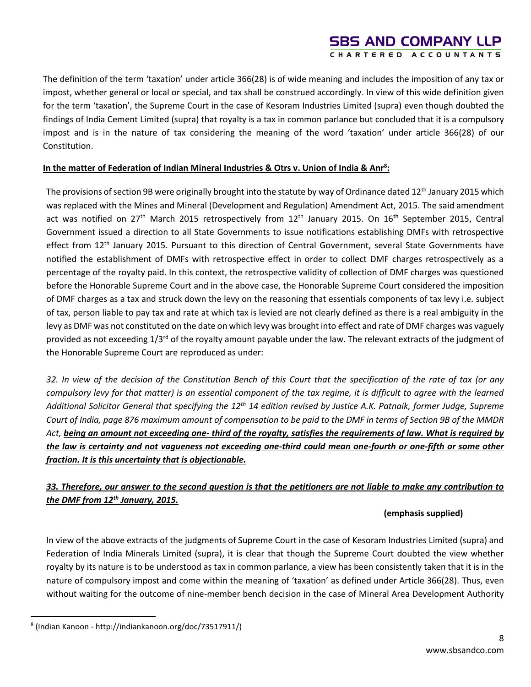The definition of the term 'taxation' under article 366(28) is of wide meaning and includes the imposition of any tax or impost, whether general or local or special, and tax shall be construed accordingly. In view of this wide definition given for the term 'taxation', the Supreme Court in the case of Kesoram Industries Limited (supra) even though doubted the findings of India Cement Limited (supra) that royalty is a tax in common parlance but concluded that it is a compulsory

impost and is in the nature of tax considering the meaning of the word 'taxation' under article 366(28) of our Constitution.

#### **In the matter of Federation of Indian Mineral Industries & Otrs v. Union of India & Anr<sup>8</sup> :**

The provisions of section 9B were originally brought into the statute by way of Ordinance dated  $12^{th}$  January 2015 which was replaced with the Mines and Mineral (Development and Regulation) Amendment Act, 2015. The said amendment act was notified on 27<sup>th</sup> March 2015 retrospectively from 12<sup>th</sup> January 2015. On 16<sup>th</sup> September 2015, Central Government issued a direction to all State Governments to issue notifications establishing DMFs with retrospective effect from 12<sup>th</sup> January 2015. Pursuant to this direction of Central Government, several State Governments have notified the establishment of DMFs with retrospective effect in order to collect DMF charges retrospectively as a percentage of the royalty paid. In this context, the retrospective validity of collection of DMF charges was questioned before the Honorable Supreme Court and in the above case, the Honorable Supreme Court considered the imposition of DMF charges as a tax and struck down the levy on the reasoning that essentials components of tax levy i.e. subject of tax, person liable to pay tax and rate at which tax is levied are not clearly defined as there is a real ambiguity in the levy as DMF was not constituted on the date on which levy was brought into effect and rate of DMF charges was vaguely provided as not exceeding 1/3<sup>rd</sup> of the royalty amount payable under the law. The relevant extracts of the judgment of the Honorable Supreme Court are reproduced as under:

*32. In view of the decision of the Constitution Bench of this Court that the specification of the rate of tax (or any compulsory levy for that matter) is an essential component of the tax regime, it is difficult to agree with the learned Additional Solicitor General that specifying the 12th 14 edition revised by Justice A.K. Patnaik, former Judge, Supreme Court of India, page 876 maximum amount of compensation to be paid to the DMF in terms of Section 9B of the MMDR Act, being an amount not exceeding one- third of the royalty, satisfies the requirements of law. What is required by the law is certainty and not vagueness not exceeding one-third could mean one-fourth or one-fifth or some other fraction. It is this uncertainty that is objectionable.*

### *33. Therefore, our answer to the second question is that the petitioners are not liable to make any contribution to the DMF from 12th January, 2015.*

#### **(emphasis supplied)**

In view of the above extracts of the judgments of Supreme Court in the case of Kesoram Industries Limited (supra) and Federation of India Minerals Limited (supra), it is clear that though the Supreme Court doubted the view whether royalty by its nature is to be understood as tax in common parlance, a view has been consistently taken that it is in the nature of compulsory impost and come within the meaning of 'taxation' as defined under Article 366(28). Thus, even without waiting for the outcome of nine-member bench decision in the case of Mineral Area Development Authority

<sup>8</sup> (Indian Kanoon - http://indiankanoon.org/doc/73517911/)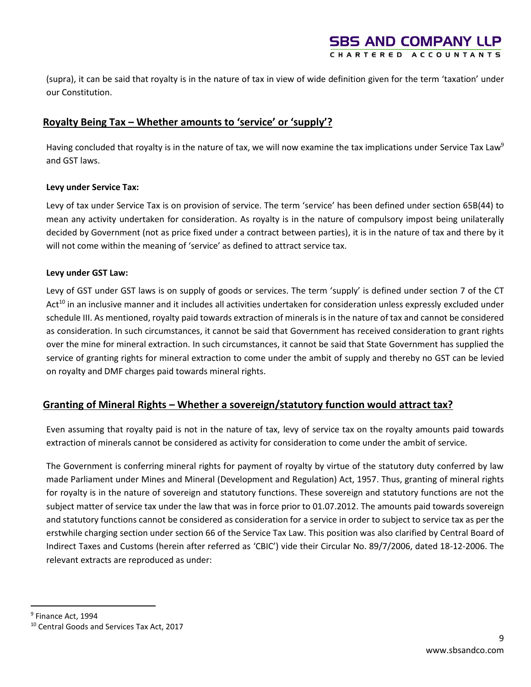(supra), it can be said that royalty is in the nature of tax in view of wide definition given for the term 'taxation' under our Constitution.

### **Royalty Being Tax – Whether amounts to 'service' or 'supply'?**

Having concluded that royalty is in the nature of tax, we will now examine the tax implications under Service Tax Law<sup>9</sup> and GST laws.

#### **Levy under Service Tax:**

Levy of tax under Service Tax is on provision of service. The term 'service' has been defined under section 65B(44) to mean any activity undertaken for consideration. As royalty is in the nature of compulsory impost being unilaterally decided by Government (not as price fixed under a contract between parties), it is in the nature of tax and there by it will not come within the meaning of 'service' as defined to attract service tax.

#### **Levy under GST Law:**

Levy of GST under GST laws is on supply of goods or services. The term 'supply' is defined under section 7 of the CT Act<sup>10</sup> in an inclusive manner and it includes all activities undertaken for consideration unless expressly excluded under schedule III. As mentioned, royalty paid towards extraction of minerals is in the nature of tax and cannot be considered as consideration. In such circumstances, it cannot be said that Government has received consideration to grant rights over the mine for mineral extraction. In such circumstances, it cannot be said that State Government has supplied the service of granting rights for mineral extraction to come under the ambit of supply and thereby no GST can be levied on royalty and DMF charges paid towards mineral rights.

# **Granting of Mineral Rights – Whether a sovereign/statutory function would attract tax?**

Even assuming that royalty paid is not in the nature of tax, levy of service tax on the royalty amounts paid towards extraction of minerals cannot be considered as activity for consideration to come under the ambit of service.

The Government is conferring mineral rights for payment of royalty by virtue of the statutory duty conferred by law made Parliament under Mines and Mineral (Development and Regulation) Act, 1957. Thus, granting of mineral rights for royalty is in the nature of sovereign and statutory functions. These sovereign and statutory functions are not the subject matter of service tax under the law that was in force prior to 01.07.2012. The amounts paid towards sovereign and statutory functions cannot be considered as consideration for a service in order to subject to service tax as per the erstwhile charging section under section 66 of the Service Tax Law. This position was also clarified by Central Board of Indirect Taxes and Customs (herein after referred as 'CBIC') vide their Circular No. 89/7/2006, dated 18-12-2006. The relevant extracts are reproduced as under:

<sup>9</sup> Finance Act, 1994

<sup>10</sup> Central Goods and Services Tax Act, 2017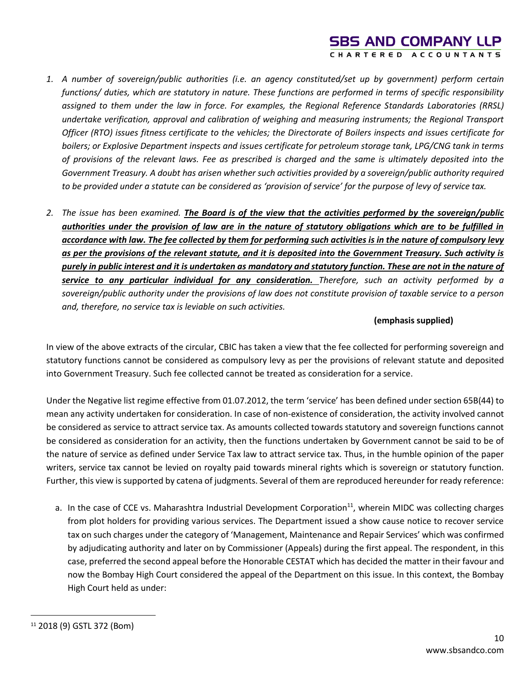- *1. A number of sovereign/public authorities (i.e. an agency constituted/set up by government) perform certain functions/ duties, which are statutory in nature. These functions are performed in terms of specific responsibility assigned to them under the law in force. For examples, the Regional Reference Standards Laboratories (RRSL) undertake verification, approval and calibration of weighing and measuring instruments; the Regional Transport Officer (RTO) issues fitness certificate to the vehicles; the Directorate of Boilers inspects and issues certificate for boilers; or Explosive Department inspects and issues certificate for petroleum storage tank, LPG/CNG tank in terms of provisions of the relevant laws. Fee as prescribed is charged and the same is ultimately deposited into the Government Treasury. A doubt has arisen whether such activities provided by a sovereign/public authority required to be provided under a statute can be considered as 'provision of service' for the purpose of levy of service tax.*
- *2. The issue has been examined. The Board is of the view that the activities performed by the sovereign/public authorities under the provision of law are in the nature of statutory obligations which are to be fulfilled in accordance with law. The fee collected by them for performing such activities is in the nature of compulsory levy as per the provisions of the relevant statute, and it is deposited into the Government Treasury. Such activity is purely in public interest and it is undertaken as mandatory and statutory function. These are not in the nature of service to any particular individual for any consideration. Therefore, such an activity performed by a sovereign/public authority under the provisions of law does not constitute provision of taxable service to a person and, therefore, no service tax is leviable on such activities.*

#### **(emphasis supplied)**

In view of the above extracts of the circular, CBIC has taken a view that the fee collected for performing sovereign and statutory functions cannot be considered as compulsory levy as per the provisions of relevant statute and deposited into Government Treasury. Such fee collected cannot be treated as consideration for a service.

Under the Negative list regime effective from 01.07.2012, the term 'service' has been defined under section 65B(44) to mean any activity undertaken for consideration. In case of non-existence of consideration, the activity involved cannot be considered as service to attract service tax. As amounts collected towards statutory and sovereign functions cannot be considered as consideration for an activity, then the functions undertaken by Government cannot be said to be of the nature of service as defined under Service Tax law to attract service tax. Thus, in the humble opinion of the paper writers, service tax cannot be levied on royalty paid towards mineral rights which is sovereign or statutory function. Further, this view is supported by catena of judgments. Several of them are reproduced hereunder for ready reference:

a. In the case of CCE vs. Maharashtra Industrial Development Corporation<sup>11</sup>, wherein MIDC was collecting charges from plot holders for providing various services. The Department issued a show cause notice to recover service tax on such charges under the category of 'Management, Maintenance and Repair Services' which was confirmed by adjudicating authority and later on by Commissioner (Appeals) during the first appeal. The respondent, in this case, preferred the second appeal before the Honorable CESTAT which has decided the matter in their favour and now the Bombay High Court considered the appeal of the Department on this issue. In this context, the Bombay High Court held as under:

<sup>11</sup> 2018 (9) GSTL 372 (Bom)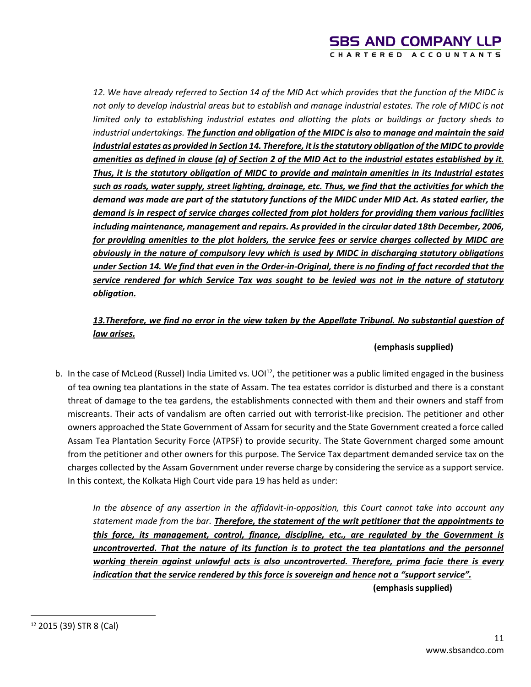*12. We have already referred to Section 14 of the MID Act which provides that the function of the MIDC is not only to develop industrial areas but to establish and manage industrial estates. The role of MIDC is not limited only to establishing industrial estates and allotting the plots or buildings or factory sheds to industrial undertakings. The function and obligation of the MIDC is also to manage and maintain the said industrial estates as provided in Section 14. Therefore, it is the statutory obligation of the MIDC to provide amenities as defined in clause (a) of Section 2 of the MID Act to the industrial estates established by it. Thus, it is the statutory obligation of MIDC to provide and maintain amenities in its Industrial estates such as roads, water supply, street lighting, drainage, etc. Thus, we find that the activities for which the demand was made are part of the statutory functions of the MIDC under MID Act. As stated earlier, the demand is in respect of service charges collected from plot holders for providing them various facilities including maintenance, management and repairs. As provided in the circular dated 18th December, 2006, for providing amenities to the plot holders, the service fees or service charges collected by MIDC are obviously in the nature of compulsory levy which is used by MIDC in discharging statutory obligations under Section 14. We find that even in the Order-in-Original, there is no finding of fact recorded that the service rendered for which Service Tax was sought to be levied was not in the nature of statutory obligation.*

# *13.Therefore, we find no error in the view taken by the Appellate Tribunal. No substantial question of law arises.*

### **(emphasis supplied)**

b. In the case of McLeod (Russel) India Limited vs.  $U O1^{22}$ , the petitioner was a public limited engaged in the business of tea owning tea plantations in the state of Assam. The tea estates corridor is disturbed and there is a constant threat of damage to the tea gardens, the establishments connected with them and their owners and staff from miscreants. Their acts of vandalism are often carried out with terrorist-like precision. The petitioner and other owners approached the State Government of Assam for security and the State Government created a force called Assam Tea Plantation Security Force (ATPSF) to provide security. The State Government charged some amount from the petitioner and other owners for this purpose. The Service Tax department demanded service tax on the charges collected by the Assam Government under reverse charge by considering the service as a support service. In this context, the Kolkata High Court vide para 19 has held as under:

*In the absence of any assertion in the affidavit-in-opposition, this Court cannot take into account any statement made from the bar. Therefore, the statement of the writ petitioner that the appointments to this force, its management, control, finance, discipline, etc., are regulated by the Government is uncontroverted. That the nature of its function is to protect the tea plantations and the personnel working therein against unlawful acts is also uncontroverted. Therefore, prima facie there is every indication that the service rendered by this force is sovereign and hence not a "support service".*

 **(emphasis supplied)**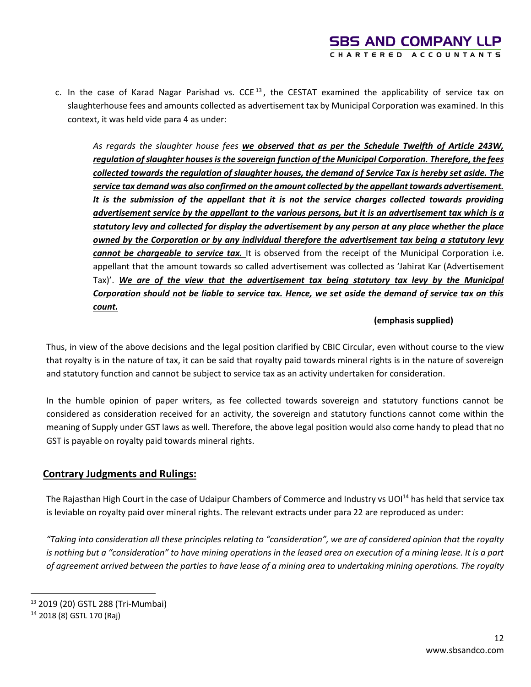c. In the case of Karad Nagar Parishad vs. CCE<sup>13</sup>, the CESTAT examined the applicability of service tax on slaughterhouse fees and amounts collected as advertisement tax by Municipal Corporation was examined. In this context, it was held vide para 4 as under:

*As regards the slaughter house fees we observed that as per the Schedule Twelfth of Article 243W, regulation of slaughter houses is the sovereign function of the Municipal Corporation. Therefore, the fees collected towards the regulation of slaughter houses, the demand of Service Tax is hereby set aside. The service tax demand was also confirmed on the amount collected by the appellant towards advertisement. It is the submission of the appellant that it is not the service charges collected towards providing advertisement service by the appellant to the various persons, but it is an advertisement tax which is a statutory levy and collected for display the advertisement by any person at any place whether the place owned by the Corporation or by any individual therefore the advertisement tax being a statutory levy cannot be chargeable to service tax.* It is observed from the receipt of the Municipal Corporation i.e. appellant that the amount towards so called advertisement was collected as 'Jahirat Kar (Advertisement Tax)'. *We are of the view that the advertisement tax being statutory tax levy by the Municipal Corporation should not be liable to service tax. Hence, we set aside the demand of service tax on this count.* 

### **(emphasis supplied)**

Thus, in view of the above decisions and the legal position clarified by CBIC Circular, even without course to the view that royalty is in the nature of tax, it can be said that royalty paid towards mineral rights is in the nature of sovereign and statutory function and cannot be subject to service tax as an activity undertaken for consideration.

In the humble opinion of paper writers, as fee collected towards sovereign and statutory functions cannot be considered as consideration received for an activity, the sovereign and statutory functions cannot come within the meaning of Supply under GST laws as well. Therefore, the above legal position would also come handy to plead that no GST is payable on royalty paid towards mineral rights.

# **Contrary Judgments and Rulings:**

The Rajasthan High Court in the case of Udaipur Chambers of Commerce and Industry vs UOI<sup>14</sup> has held that service tax is leviable on royalty paid over mineral rights. The relevant extracts under para 22 are reproduced as under:

*"Taking into consideration all these principles relating to "consideration", we are of considered opinion that the royalty is nothing but a "consideration" to have mining operations in the leased area on execution of a mining lease. It is a part of agreement arrived between the parties to have lease of a mining area to undertaking mining operations. The royalty* 

<sup>13</sup> 2019 (20) GSTL 288 (Tri-Mumbai)

<sup>14</sup> 2018 (8) GSTL 170 (Raj)